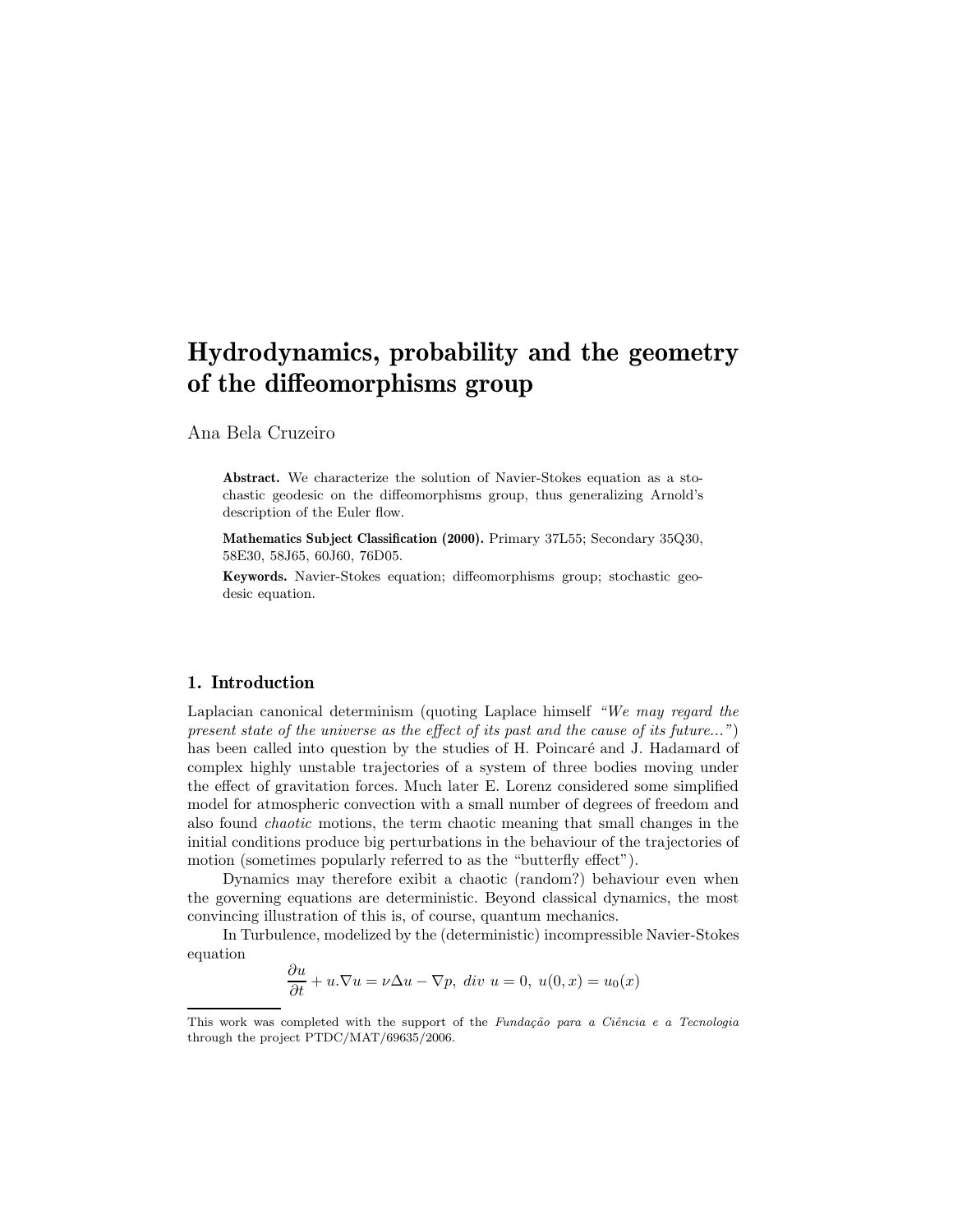Ana Bela Cruzeiro

Abstract. We characterize the solution of Navier-Stokes equation as a stochastic geodesic on the diffeomorphisms group, thus generalizing Arnold's description of the Euler flow.

Mathematics Subject Classification (2000). Primary 37L55; Secondary 35Q30, 58E30, 58J65, 60J60, 76D05.

Keywords. Navier-Stokes equation; diffeomorphisms group; stochastic geodesic equation.

## 1. Introduction

Laplacian canonical determinism (quoting Laplace himself "We may regard the present state of the universe as the effect of its past and the cause of its future...") has been called into question by the studies of H. Poincaré and J. Hadamard of complex highly unstable trajectories of a system of three bodies moving under the effect of gravitation forces. Much later E. Lorenz considered some simplified model for atmospheric convection with a small number of degrees of freedom and also found chaotic motions, the term chaotic meaning that small changes in the initial conditions produce big perturbations in the behaviour of the trajectories of motion (sometimes popularly referred to as the "butterfly effect").

Dynamics may therefore exibit a chaotic (random?) behaviour even when the governing equations are deterministic. Beyond classical dynamics, the most convincing illustration of this is, of course, quantum mechanics.

In Turbulence, modelized by the (deterministic) incompressible Navier-Stokes equation

$$
\frac{\partial u}{\partial t} + u.\nabla u = \nu \Delta u - \nabla p, \ div \ u = 0, \ u(0, x) = u_0(x)
$$

This work was completed with the support of the Fundação para a Ciência e a Tecnologia through the project PTDC/MAT/69635/2006.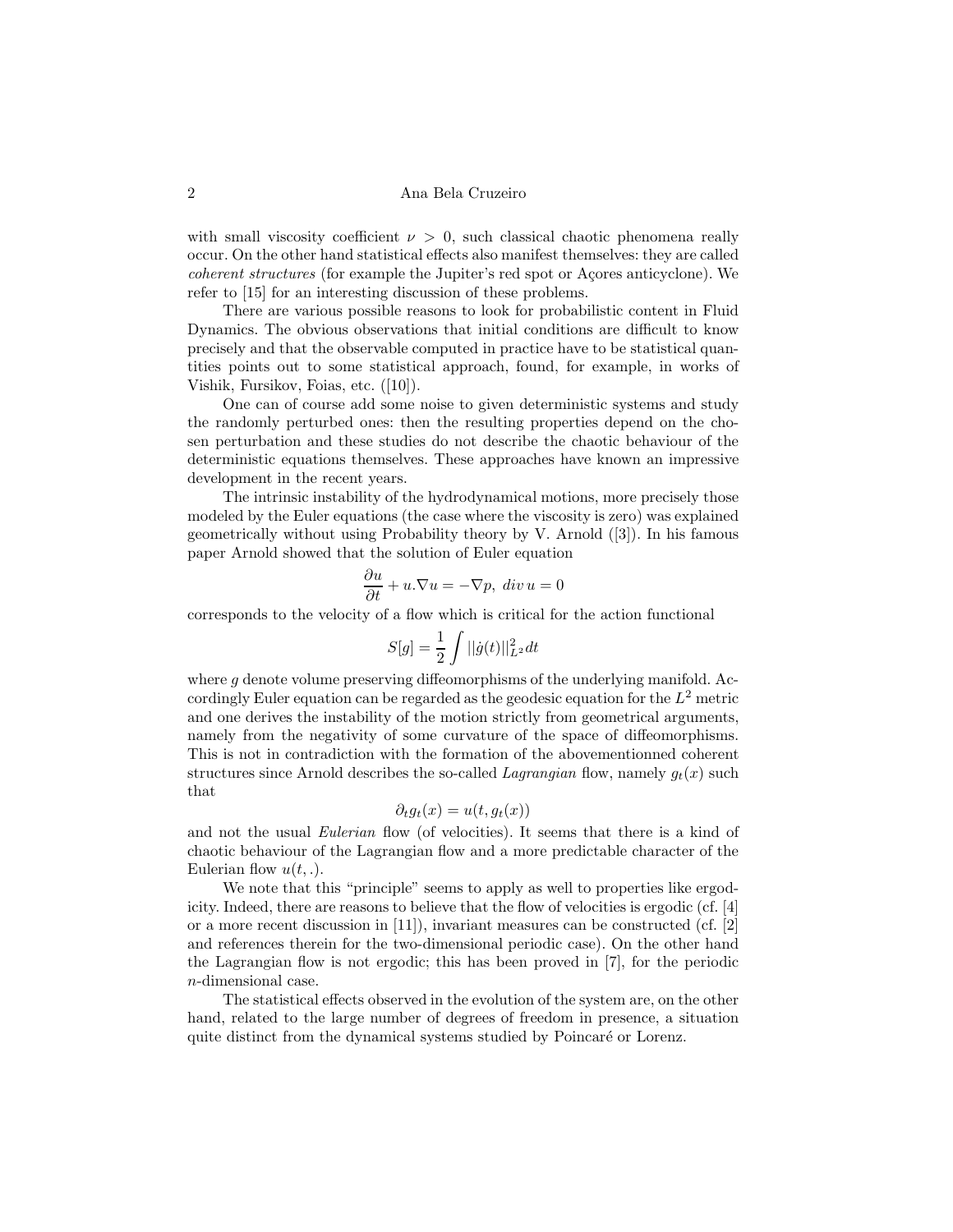with small viscosity coefficient  $\nu > 0$ , such classical chaotic phenomena really occur. On the other hand statistical effects also manifest themselves: they are called coherent structures (for example the Jupiter's red spot or Açores anticyclone). We refer to [15] for an interesting discussion of these problems.

There are various possible reasons to look for probabilistic content in Fluid Dynamics. The obvious observations that initial conditions are difficult to know precisely and that the observable computed in practice have to be statistical quantities points out to some statistical approach, found, for example, in works of Vishik, Fursikov, Foias, etc. ([10]).

One can of course add some noise to given deterministic systems and study the randomly perturbed ones: then the resulting properties depend on the chosen perturbation and these studies do not describe the chaotic behaviour of the deterministic equations themselves. These approaches have known an impressive development in the recent years.

The intrinsic instability of the hydrodynamical motions, more precisely those modeled by the Euler equations (the case where the viscosity is zero) was explained geometrically without using Probability theory by V. Arnold ([3]). In his famous paper Arnold showed that the solution of Euler equation

$$
\frac{\partial u}{\partial t} + u.\nabla u = -\nabla p, \ div u = 0
$$

corresponds to the velocity of a flow which is critical for the action functional

$$
S[g] = \frac{1}{2} \int ||\dot{g}(t)||_{L^2}^2 dt
$$

where  $q$  denote volume preserving diffeomorphisms of the underlying manifold. Accordingly Euler equation can be regarded as the geodesic equation for the  $L^2$  metric and one derives the instability of the motion strictly from geometrical arguments, namely from the negativity of some curvature of the space of diffeomorphisms. This is not in contradiction with the formation of the abovementionned coherent structures since Arnold describes the so-called Lagrangian flow, namely  $g_t(x)$  such that

$$
\partial_t g_t(x) = u(t, g_t(x))
$$

and not the usual *Eulerian* flow (of velocities). It seems that there is a kind of chaotic behaviour of the Lagrangian flow and a more predictable character of the Eulerian flow  $u(t,.)$ .

We note that this "principle" seems to apply as well to properties like ergodicity. Indeed, there are reasons to believe that the flow of velocities is ergodic (cf. [4] or a more recent discussion in [11]), invariant measures can be constructed (cf. [2] and references therein for the two-dimensional periodic case). On the other hand the Lagrangian flow is not ergodic; this has been proved in [7], for the periodic n-dimensional case.

The statistical effects observed in the evolution of the system are, on the other hand, related to the large number of degrees of freedom in presence, a situation quite distinct from the dynamical systems studied by Poincaré or Lorenz.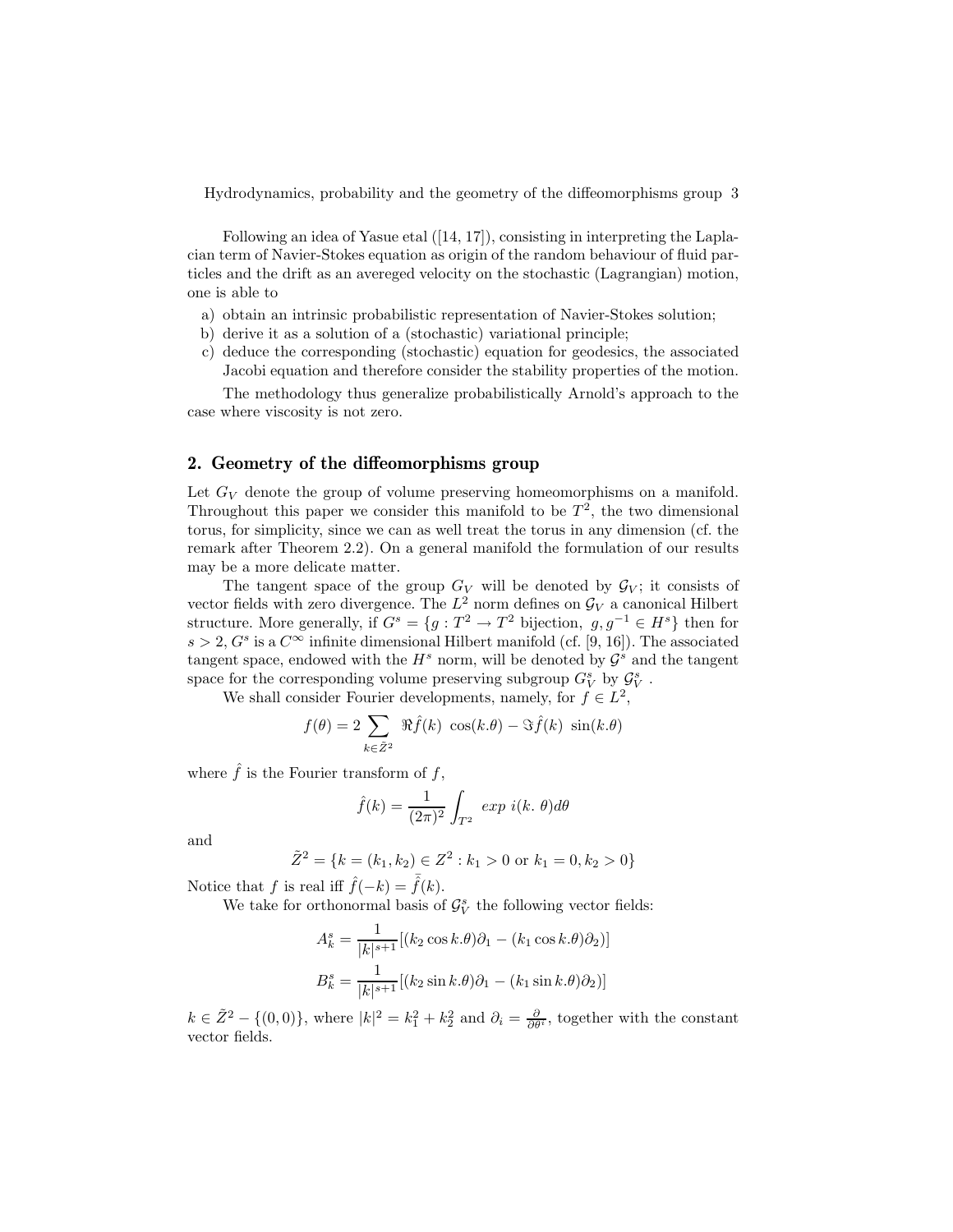Following an idea of Yasue etal ([14, 17]), consisting in interpreting the Laplacian term of Navier-Stokes equation as origin of the random behaviour of fluid particles and the drift as an avereged velocity on the stochastic (Lagrangian) motion, one is able to

- a) obtain an intrinsic probabilistic representation of Navier-Stokes solution;
- b) derive it as a solution of a (stochastic) variational principle;
- c) deduce the corresponding (stochastic) equation for geodesics, the associated Jacobi equation and therefore consider the stability properties of the motion.

The methodology thus generalize probabilistically Arnold's approach to the case where viscosity is not zero.

#### 2. Geometry of the diffeomorphisms group

Let  $G_V$  denote the group of volume preserving homeomorphisms on a manifold. Throughout this paper we consider this manifold to be  $T^2$ , the two dimensional torus, for simplicity, since we can as well treat the torus in any dimension (cf. the remark after Theorem 2.2). On a general manifold the formulation of our results may be a more delicate matter.

The tangent space of the group  $G_V$  will be denoted by  $\mathcal{G}_V$ ; it consists of vector fields with zero divergence. The  $L^2$  norm defines on  $\mathcal{G}_V$  a canonical Hilbert structure. More generally, if  $G^s = \{g : T^2 \to T^2 \text{ bijection}, g, g^{-1} \in H^s \}$  then for  $s > 2$ ,  $G<sup>s</sup>$  is a  $C<sup>\infty</sup>$  infinite dimensional Hilbert manifold (cf. [9, 16]). The associated tangent space, endowed with the  $H^s$  norm, will be denoted by  $\mathcal{G}^s$  and the tangent space for the corresponding volume preserving subgroup  $G_V^s$  by  $\mathcal{G}_V^s$  .

We shall consider Fourier developments, namely, for  $f \in L^2$ ,

$$
f(\theta) = 2 \sum_{k \in \tilde{Z}^2} \Re \hat{f}(k) \cos(k.\theta) - \Im \hat{f}(k) \sin(k.\theta)
$$

where  $\hat{f}$  is the Fourier transform of f,

$$
\hat{f}(k) = \frac{1}{(2\pi)^2} \int_{T^2} exp i(k. \theta) d\theta
$$

and

$$
\tilde{Z}^2 = \{k = (k_1, k_2) \in Z^2 : k_1 > 0 \text{ or } k_1 = 0, k_2 > 0\}
$$

Notice that f is real iff  $f(-k) = f(k)$ .

We take for orthonormal basis of  $\mathcal{G}_{V}^{s}$  the following vector fields:

$$
A_k^s = \frac{1}{|k|^{s+1}} [(k_2 \cos k.\theta)\partial_1 - (k_1 \cos k.\theta)\partial_2)]
$$
  

$$
B_k^s = \frac{1}{|k|^{s+1}} [(k_2 \sin k.\theta)\partial_1 - (k_1 \sin k.\theta)\partial_2)]
$$

 $k \in \tilde{Z}^2 - \{(0,0)\}\text{, where } |k|^2 = k_1^2 + k_2^2 \text{ and } \partial_i = \frac{\partial}{\partial \theta^i}$ , together with the constant vector fields.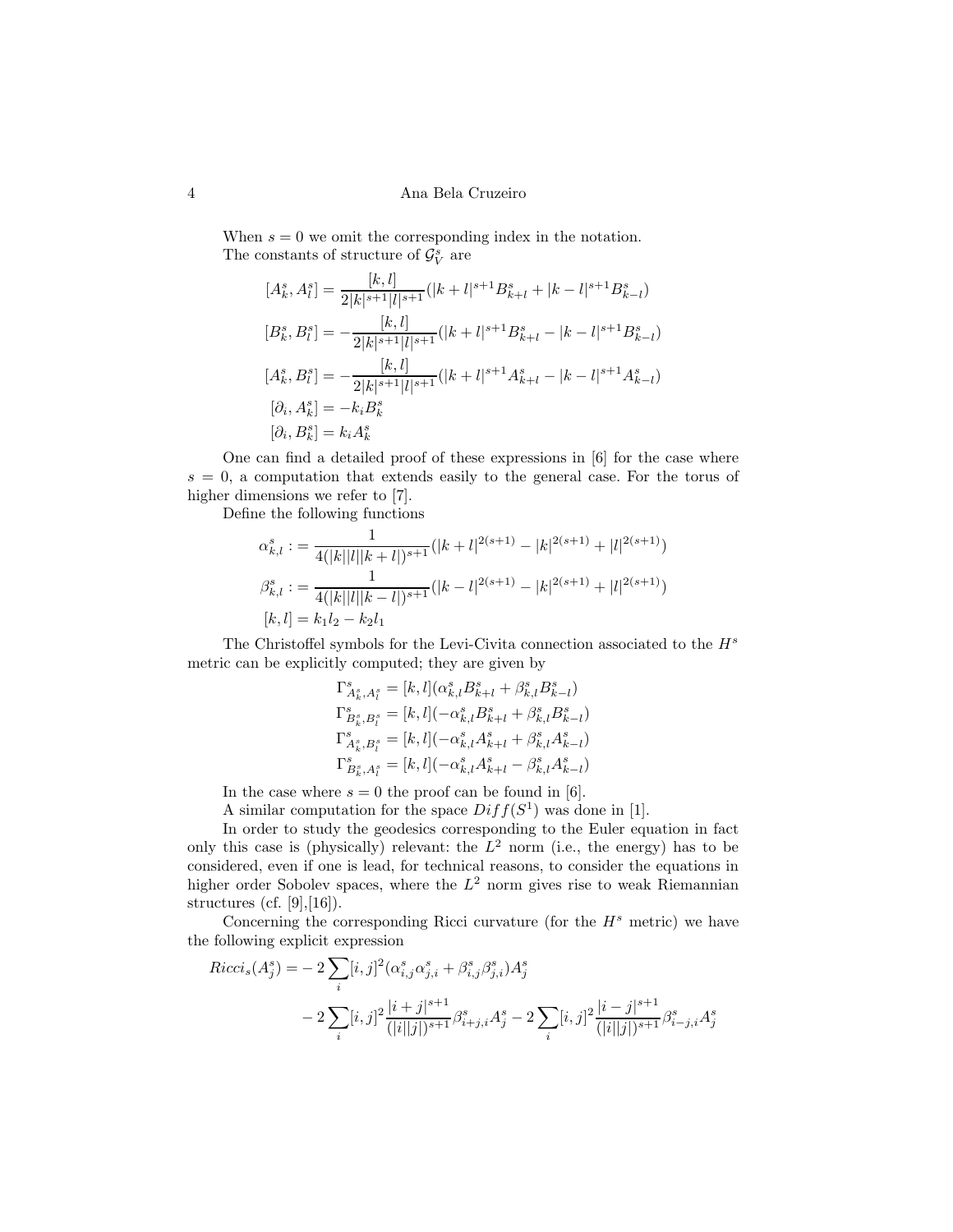When  $s = 0$  we omit the corresponding index in the notation. The constants of structure of  $\mathcal{G}_{V}^{s}$  are

$$
[A_k^s, A_l^s] = \frac{[k, l]}{2|k|^{s+1}|l|^{s+1}}(|k+l|^{s+1}B_{k+l}^s + |k-l|^{s+1}B_{k-l}^s)
$$
  
\n
$$
[B_k^s, B_l^s] = -\frac{[k, l]}{2|k|^{s+1}|l|^{s+1}}(|k+l|^{s+1}B_{k+l}^s - |k-l|^{s+1}B_{k-l}^s)
$$
  
\n
$$
[A_k^s, B_l^s] = -\frac{[k, l]}{2|k|^{s+1}|l|^{s+1}}(|k+l|^{s+1}A_{k+l}^s - |k-l|^{s+1}A_{k-l}^s)
$$
  
\n
$$
[\partial_i, A_k^s] = -k_i B_k^s
$$
  
\n
$$
[\partial_i, B_k^s] = k_i A_k^s
$$

One can find a detailed proof of these expressions in [6] for the case where  $s = 0$ , a computation that extends easily to the general case. For the torus of higher dimensions we refer to [7].

Define the following functions

$$
\alpha_{k,l}^s := \frac{1}{4(|k||l||k+l|)^{s+1}}(|k+l|^{2(s+1)} - |k|^{2(s+1)} + |l|^{2(s+1)})
$$
  

$$
\beta_{k,l}^s := \frac{1}{4(|k||l||k-l|)^{s+1}}(|k-l|^{2(s+1)} - |k|^{2(s+1)} + |l|^{2(s+1)})
$$
  

$$
[k,l] = k_1 l_2 - k_2 l_1
$$

The Christoffel symbols for the Levi-Civita connection associated to the  $H<sup>s</sup>$ metric can be explicitly computed; they are given by

$$
\begin{split} \Gamma_{A_k^s,A_l^s}^s &= [k,l](\alpha_{k,l}^s B_{k+l}^s + \beta_{k,l}^s B_{k-l}^s) \\ \Gamma_{B_k^s,B_l^s}^s &= [k,l](-\alpha_{k,l}^s B_{k+l}^s + \beta_{k,l}^s B_{k-l}^s) \\ \Gamma_{A_k^s,B_l^s}^s &= [k,l](-\alpha_{k,l}^s A_{k+l}^s + \beta_{k,l}^s A_{k-l}^s) \\ \Gamma_{B_k^s,A_l^s}^s &= [k,l](-\alpha_{k,l}^s A_{k+l}^s - \beta_{k,l}^s A_{k-l}^s) \end{split}
$$

In the case where  $s = 0$  the proof can be found in [6].

A similar computation for the space  $Diff(S^1)$  was done in [1].

In order to study the geodesics corresponding to the Euler equation in fact only this case is (physically) relevant: the  $L^2$  norm (i.e., the energy) has to be considered, even if one is lead, for technical reasons, to consider the equations in higher order Sobolev spaces, where the  $L^2$  norm gives rise to weak Riemannian structures (cf.  $[9],[16]$ ).

Concerning the corresponding Ricci curvature (for the  $H<sup>s</sup>$  metric) we have the following explicit expression

$$
Ricci_s(A_j^s) = -2\sum_i [i,j]^2 (\alpha_{i,j}^s \alpha_{j,i}^s + \beta_{i,j}^s \beta_{j,i}^s) A_j^s
$$
  

$$
-2\sum_i [i,j]^2 \frac{|i+j|^{s+1}}{(|i||j|)^{s+1}} \beta_{i+j,i}^s A_j^s - 2\sum_i [i,j]^2 \frac{|i-j|^{s+1}}{(|i||j|)^{s+1}} \beta_{i-j,i}^s A_j^s
$$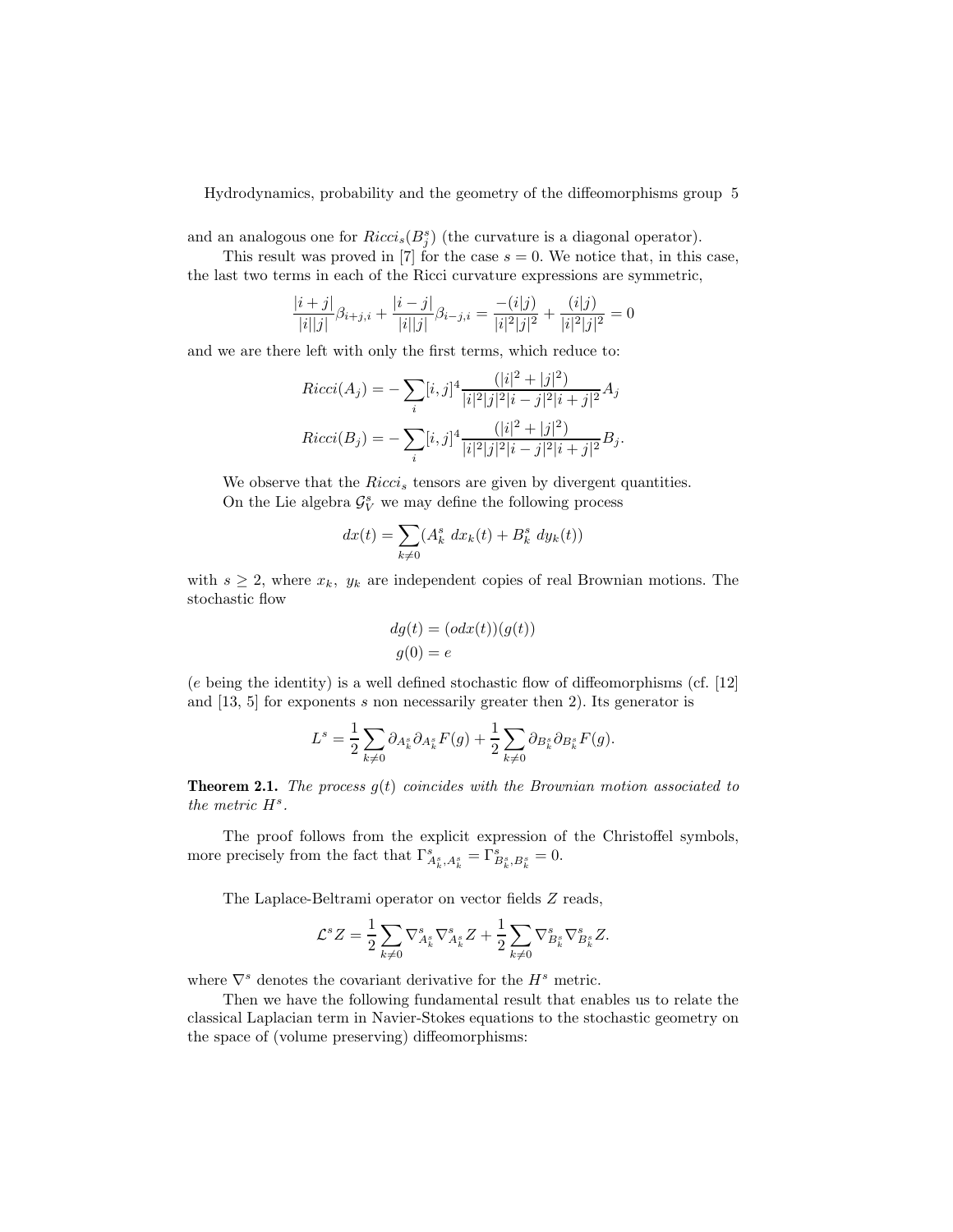and an analogous one for  $Ricci_s(B_j^s)$  (the curvature is a diagonal operator).

This result was proved in [7] for the case  $s = 0$ . We notice that, in this case, the last two terms in each of the Ricci curvature expressions are symmetric,

$$
\frac{|i+j|}{|i||j|}\beta_{i+j,i} + \frac{|i-j|}{|i||j|}\beta_{i-j,i} = \frac{-(i|j)}{|i|^2|j|^2} + \frac{(i|j)}{|i|^2|j|^2} = 0
$$

and we are there left with only the first terms, which reduce to:

$$
Ricci(A_j) = -\sum_{i} [i, j]^4 \frac{(|i|^2 + |j|^2)}{|i|^2 |j|^2 |i - j|^2 |i + j|^2} A_j
$$
  
\n
$$
Ricci(B_j) = -\sum_{i} [i, j]^4 \frac{(|i|^2 + |j|^2)}{|i|^2 |j|^2 |i - j|^2 |i + j|^2} B_j.
$$

We observe that the  $Ricci_s$  tensors are given by divergent quantities. On the Lie algebra  $\mathcal{G}_{V}^{s}$  we may define the following process

$$
dx(t) = \sum_{k \neq 0} (A_k^s dx_k(t) + B_k^s dy_k(t))
$$

with  $s \geq 2$ , where  $x_k$ ,  $y_k$  are independent copies of real Brownian motions. The stochastic flow

$$
dg(t) = (odx(t))(g(t))
$$

$$
g(0) = e
$$

(e being the identity) is a well defined stochastic flow of diffeomorphisms (cf. [12] and [13, 5] for exponents s non necessarily greater then 2). Its generator is

$$
L^s = \frac{1}{2} \sum_{k \neq 0} \partial_{A_k^s} \partial_{A_k^s} F(g) + \frac{1}{2} \sum_{k \neq 0} \partial_{B_k^s} \partial_{B_k^s} F(g).
$$

**Theorem 2.1.** The process  $g(t)$  coincides with the Brownian motion associated to the metric  $H^s$ .

The proof follows from the explicit expression of the Christoffel symbols, more precisely from the fact that  $\Gamma_{A_k^s, A_k^s}^s = \Gamma_{B_k^s, B_k^s}^s = 0.$ 

The Laplace-Beltrami operator on vector fields Z reads,

$$
\mathcal{L}^s Z = \frac{1}{2} \sum_{k \neq 0} \nabla_{A_k^s}^s \nabla_{A_k^s}^s Z + \frac{1}{2} \sum_{k \neq 0} \nabla_{B_k^s}^s \nabla_{B_k^s}^s Z.
$$

where  $\nabla^s$  denotes the covariant derivative for the  $H^s$  metric.

Then we have the following fundamental result that enables us to relate the classical Laplacian term in Navier-Stokes equations to the stochastic geometry on the space of (volume preserving) diffeomorphisms: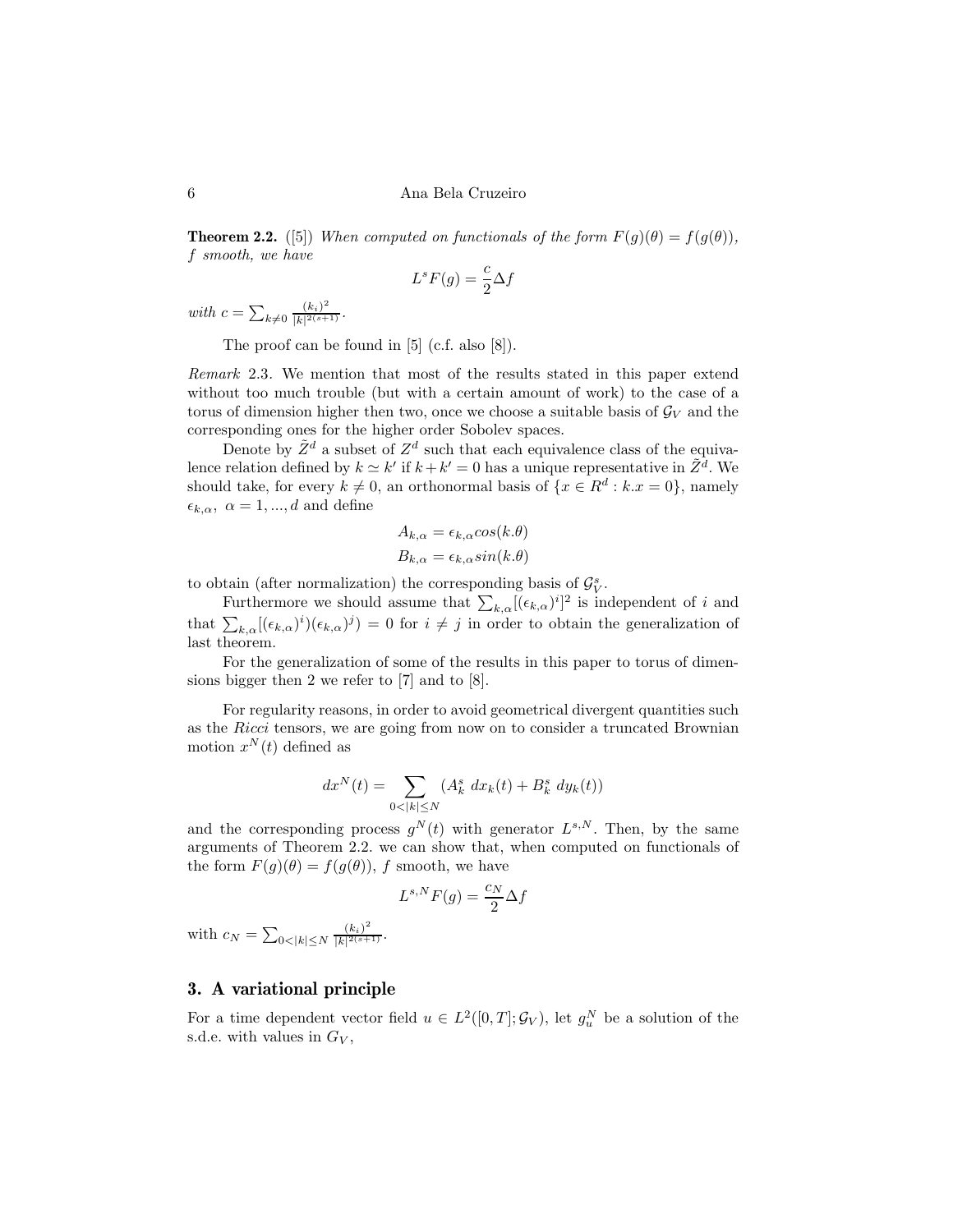**Theorem 2.2.** ([5]) When computed on functionals of the form  $F(g)(\theta) = f(g(\theta)),$ f smooth, we have

$$
L^s F(g) = \frac{c}{2} \Delta f
$$

with  $c = \sum_{k \neq 0} \frac{(k_i)^2}{|k|^{2(s+1)}}$  $\frac{(\kappa_i)}{|k|^{2(s+1)}}$ .

The proof can be found in [5] (c.f. also [8]).

Remark 2.3. We mention that most of the results stated in this paper extend without too much trouble (but with a certain amount of work) to the case of a torus of dimension higher then two, once we choose a suitable basis of  $\mathcal{G}_V$  and the corresponding ones for the higher order Sobolev spaces.

Denote by  $\tilde{Z}^d$  a subset of  $Z^d$  such that each equivalence class of the equivalence relation defined by  $k \simeq k'$  if  $k + k' = 0$  has a unique representative in  $\tilde{Z}^{\bar{d}}$ . We should take, for every  $k \neq 0$ , an orthonormal basis of  $\{x \in \mathbb{R}^d : k \cdot x = 0\}$ , namely  $\epsilon_{k,\alpha}, \ \alpha = 1, ..., d$  and define

$$
A_{k,\alpha} = \epsilon_{k,\alpha} \cos(k.\theta)
$$
  

$$
B_{k,\alpha} = \epsilon_{k,\alpha} \sin(k.\theta)
$$

to obtain (after normalization) the corresponding basis of  $\mathcal{G}_{V}^{s}$ .

Furthermore we should assume that  $\sum_{k,\alpha} [(\epsilon_{k,\alpha})^i]^2$  is independent of i and that  $\sum_{k,\alpha} [(\epsilon_{k,\alpha})^i](\epsilon_{k,\alpha})^j$  = 0 for  $i \neq j$  in order to obtain the generalization of last theorem.

For the generalization of some of the results in this paper to torus of dimensions bigger then 2 we refer to [7] and to [8].

For regularity reasons, in order to avoid geometrical divergent quantities such as the Ricci tensors, we are going from now on to consider a truncated Brownian motion  $x^N(t)$  defined as

$$
dx^{N}(t) = \sum_{0 < |k| \leq N} (A_{k}^{s} dx_{k}(t) + B_{k}^{s} dy_{k}(t))
$$

and the corresponding process  $g^N(t)$  with generator  $L^{s,N}$ . Then, by the same arguments of Theorem 2.2. we can show that, when computed on functionals of the form  $F(g)(\theta) = f(g(\theta))$ , f smooth, we have

$$
L^{s,N}F(g) = \frac{c_N}{2}\Delta f
$$

with  $c_N = \sum_{0 < |k| \le N} \frac{(k_i)^2}{|k|^{2(s+1)}}$  $\frac{(\kappa_i)}{|k|^{2(s+1)}}$ .

## 3. A variational principle

For a time dependent vector field  $u \in L^2([0,T]; \mathcal{G}_V)$ , let  $g_u^N$  be a solution of the s.d.e. with values in  $G_V$ ,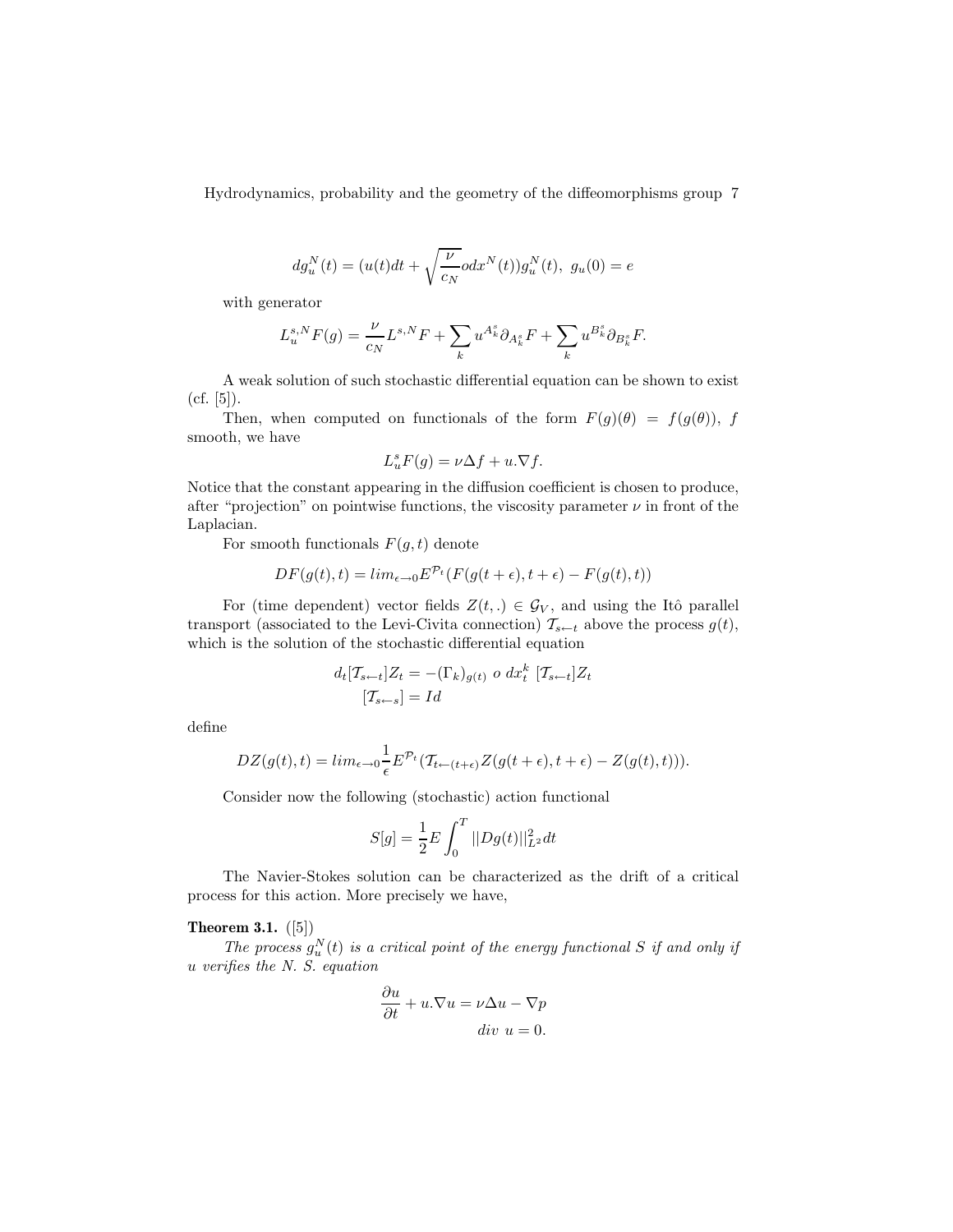$$
dg_u^N(t) = (u(t)dt + \sqrt{\frac{\nu}{c_N}} o dx^N(t))g_u^N(t), \ g_u(0) = e
$$

with generator

$$
L^{s,N}_u F(g) = \frac{\nu}{c_N} L^{s,N} F + \sum_k u^{A^s_k} \partial_{A^s_k} F + \sum_k u^{B^s_k} \partial_{B^s_k} F.
$$

A weak solution of such stochastic differential equation can be shown to exist (cf. [5]).

Then, when computed on functionals of the form  $F(g)(\theta) = f(g(\theta))$ , f smooth, we have

$$
L_u^s F(g) = \nu \Delta f + u.\nabla f.
$$

Notice that the constant appearing in the diffusion coefficient is chosen to produce, after "projection" on pointwise functions, the viscosity parameter  $\nu$  in front of the Laplacian.

For smooth functionals  $F(g, t)$  denote

$$
DF(g(t),t) = lim_{\epsilon \to 0} E^{\mathcal{P}_t}(F(g(t+\epsilon),t+\epsilon) - F(g(t),t))
$$

For (time dependent) vector fields  $Z(t,.) \in \mathcal{G}_V$ , and using the Itô parallel transport (associated to the Levi-Civita connection)  $\mathcal{T}_{s-t}$  above the process  $g(t)$ , which is the solution of the stochastic differential equation

$$
d_t[T_{s\leftarrow t}]Z_t = -(\Gamma_k)_{g(t)} \circ dx_t^k [T_{s\leftarrow t}]Z_t
$$

$$
[T_{s\leftarrow s}] = Id
$$

define

$$
DZ(g(t),t) = lim_{\epsilon \to 0} \frac{1}{\epsilon} E^{\mathcal{P}_t}(\mathcal{T}_{t \leftarrow (t+\epsilon)} Z(g(t+\epsilon), t+\epsilon) - Z(g(t), t))).
$$

Consider now the following (stochastic) action functional

$$
S[g] = \frac{1}{2}E \int_0^T ||Dg(t)||_{L^2}^2 dt
$$

The Navier-Stokes solution can be characterized as the drift of a critical process for this action. More precisely we have,

#### Theorem 3.1.  $([5])$

The process  $g_u^N(t)$  is a critical point of the energy functional S if and only if u verifies the N. S. equation

$$
\frac{\partial u}{\partial t} + u.\nabla u = \nu \Delta u - \nabla p
$$
  
div  $u = 0$ .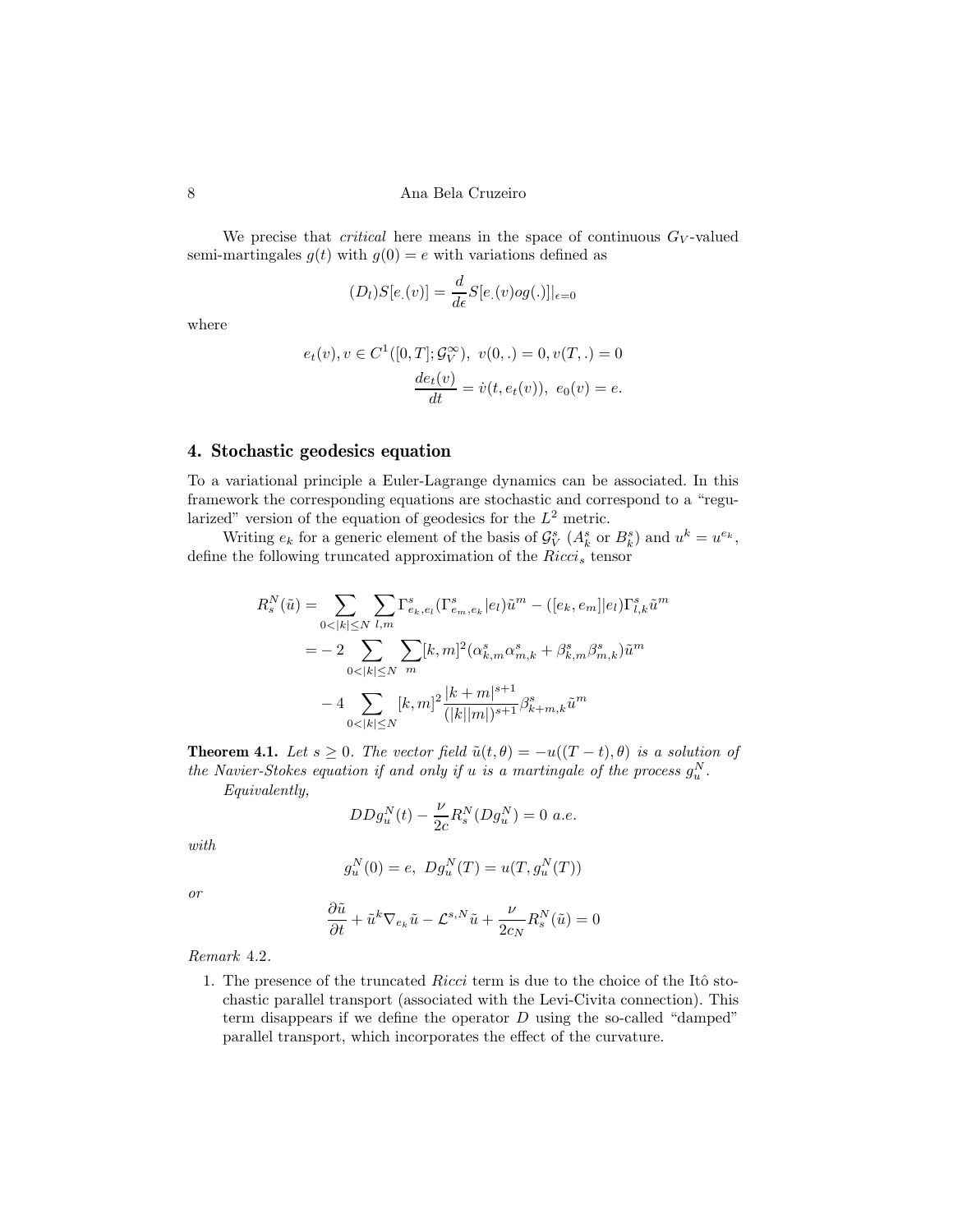We precise that *critical* here means in the space of continuous  $G_V$ -valued semi-martingales  $g(t)$  with  $g(0) = e$  with variations defined as

$$
(D_l)S[e_{\cdot}(v)] = \frac{d}{d\epsilon}S[e_{\cdot}(v)og(\cdot)]|_{\epsilon=0}
$$

where

$$
e_t(v), v \in C^1([0, T]; \mathcal{G}_V^{\infty}), v(0,.) = 0, v(T,.) = 0
$$
  

$$
\frac{de_t(v)}{dt} = \dot{v}(t, e_t(v)), e_0(v) = e.
$$

#### 4. Stochastic geodesics equation

To a variational principle a Euler-Lagrange dynamics can be associated. In this framework the corresponding equations are stochastic and correspond to a "regularized" version of the equation of geodesics for the  $L^2$  metric.

Writing  $e_k$  for a generic element of the basis of  $\mathcal{G}_{V}^{s}$   $(A_k^s$  or  $B_k^s)$  and  $u^k = u^{e_k}$ , define the following truncated approximation of the  $Ricci_s$  tensor

$$
\begin{split} R_{s}^{N}(\tilde{u})=&\sum_{0<|k|\leq N}\sum_{l,m}\Gamma_{e_{k},e_{l}}^{s}(\Gamma_{e_{m},e_{k}}^{s}|e_{l})\tilde{u}^{m}-([e_{k},e_{m}]|e_{l})\Gamma_{l,k}^{s}\tilde{u}^{m}\\ =&-2\sum_{0<|k|\leq N}\sum_{m}[k,m]^{2}(\alpha_{k,m}^{s}\alpha_{m,k}^{s}+\beta_{k,m}^{s}\beta_{m,k}^{s})\tilde{u}^{m}\\ &-4\sum_{0<|k|\leq N}[k,m]^{2}\frac{|k+m|^{s+1}}{(|k||m|)^{s+1}}\beta_{k+m,k}^{s}\tilde{u}^{m} \end{split}
$$

**Theorem 4.1.** Let  $s \geq 0$ . The vector field  $\tilde{u}(t, \theta) = -u((T - t), \theta)$  is a solution of the Navier-Stokes equation if and only if u is a martingale of the process  $g_u^N$ .

Equivalently,

$$
DDg_u^N(t) - \frac{\nu}{2c} R_s^N(Dg_u^N) = 0 \ a.e.
$$

with

$$
g_u^N(0) = e, \ Dg_u^N(T) = u(T, g_u^N(T))
$$

or

$$
\frac{\partial \tilde{u}}{\partial t} + \tilde{u}^k \nabla_{e_k} \tilde{u} - \mathcal{L}^{s,N} \tilde{u} + \frac{\nu}{2c_N} R_s^N(\tilde{u}) = 0
$$

Remark 4.2.

1. The presence of the truncated Ricci term is due to the choice of the Itô stochastic parallel transport (associated with the Levi-Civita connection). This term disappears if we define the operator  $D$  using the so-called "damped" parallel transport, which incorporates the effect of the curvature.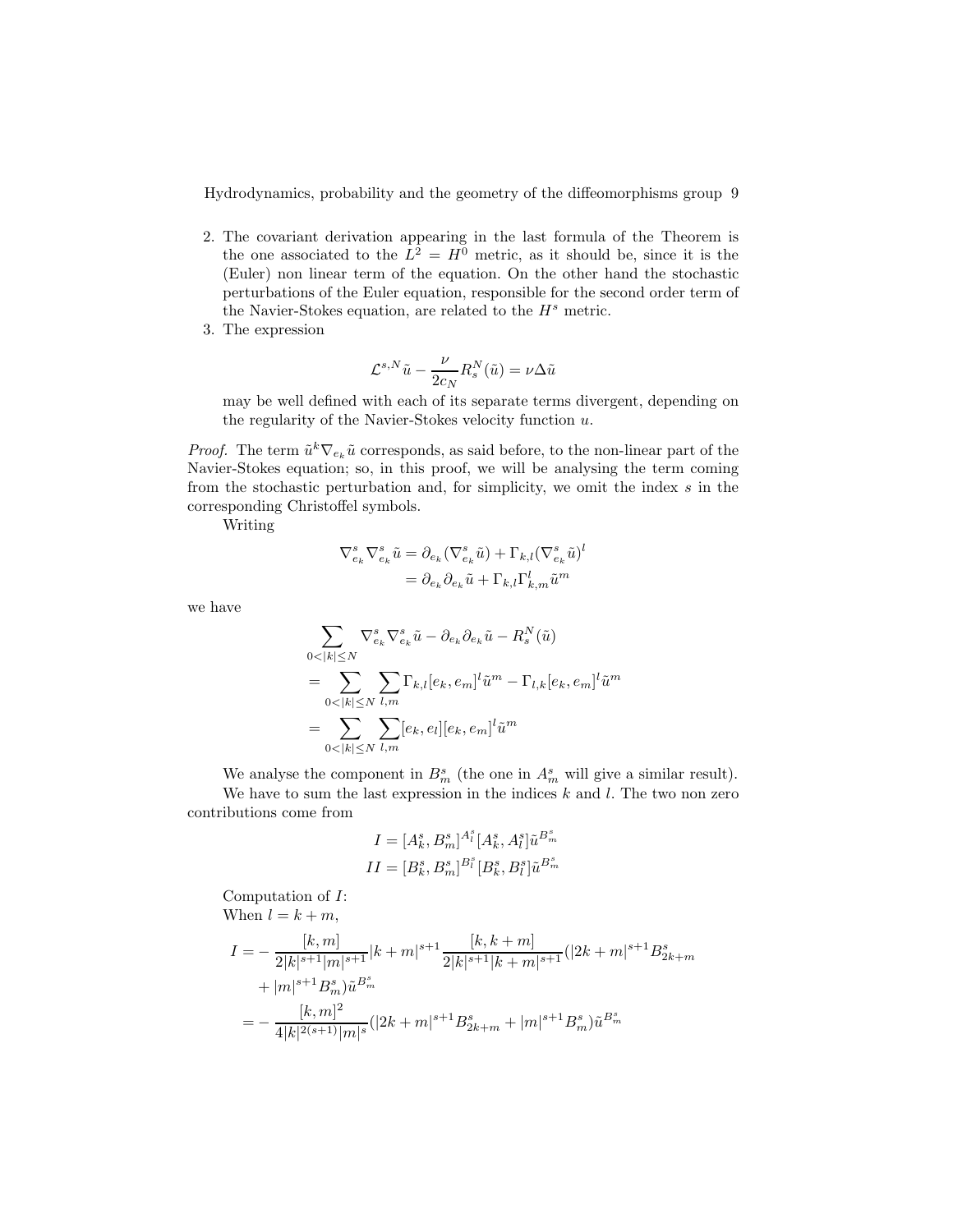- 2. The covariant derivation appearing in the last formula of the Theorem is the one associated to the  $L^2 = H^0$  metric, as it should be, since it is the (Euler) non linear term of the equation. On the other hand the stochastic perturbations of the Euler equation, responsible for the second order term of the Navier-Stokes equation, are related to the  $H<sup>s</sup>$  metric.
- 3. The expression

$$
\mathcal{L}^{s,N}\tilde{u} - \frac{\nu}{2c_N}R_s^N(\tilde{u}) = \nu \Delta \tilde{u}
$$

may be well defined with each of its separate terms divergent, depending on the regularity of the Navier-Stokes velocity function  $u$ .

*Proof.* The term  $\tilde{u}^k \nabla_{e_k} \tilde{u}$  corresponds, as said before, to the non-linear part of the Navier-Stokes equation; so, in this proof, we will be analysing the term coming from the stochastic perturbation and, for simplicity, we omit the index s in the corresponding Christoffel symbols.

Writing

$$
\begin{aligned} \nabla_{e_k}^s \nabla_{e_k}^s \tilde{u} &= \partial_{e_k} (\nabla_{e_k}^s \tilde{u}) + \Gamma_{k,l} (\nabla_{e_k}^s \tilde{u})^l \\ &= \partial_{e_k} \partial_{e_k} \tilde{u} + \Gamma_{k,l} \Gamma_{k,m}^l \tilde{u}^m \end{aligned}
$$

we have

$$
\begin{aligned} &\sum_{0<|k|\leq N}\nabla_{e_k}^s\nabla_{e_k}^s\tilde{u}-\partial_{e_k}\partial_{e_k}\tilde{u}-R_s^N(\tilde{u})\\ &=\sum_{0<|k|\leq N}\sum_{l,m}\Gamma_{k,l}[e_k,e_m]^l\tilde{u}^m-\Gamma_{l,k}[e_k,e_m]^l\tilde{u}^m\\ &=\sum_{0<|k|\leq N}\sum_{l,m}[e_k,e_l][e_k,e_m]^l\tilde{u}^m \end{aligned}
$$

We analyse the component in  $B_m^s$  (the one in  $A_m^s$  will give a similar result). We have to sum the last expression in the indices  $k$  and  $l$ . The two non zero contributions come from

$$
\begin{aligned} I = [A_k^s, B_m^s]^{A_l^s} [A_k^s, A_l^s] \tilde{u}^{B_m^s} \\ II = [B_k^s, B_m^s]^{B_l^s} [B_k^s, B_l^s] \tilde{u}^{B_m^s} \end{aligned}
$$

Computation of I:

When 
$$
l = k + m
$$
,

$$
I = -\frac{[k,m]}{2|k|^{s+1}|m|^{s+1}}|k+m|^{s+1}\frac{[k,k+m]}{2|k|^{s+1}|k+m|^{s+1}}(|2k+m|^{s+1}B_{2k+m}^s
$$
  
+|m|^{s+1}B\_m^s)\tilde{u}^{B\_m^s}  
= -\frac{[k,m]^2}{4|k|^{2(s+1)}|m|^s}(|2k+m|^{s+1}B\_{2k+m}^s + |m|^{s+1}B\_m^s)\tilde{u}^{B\_m^s}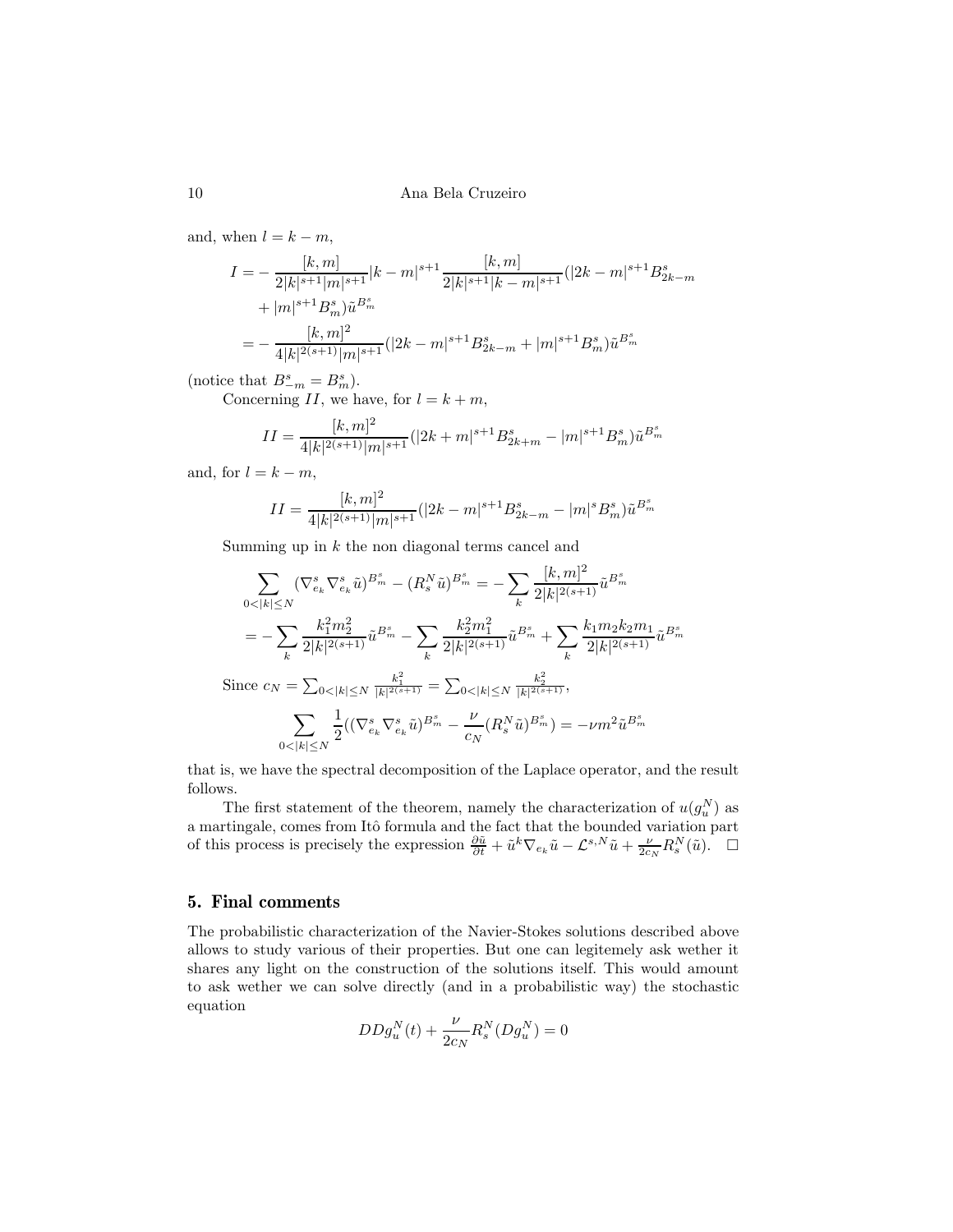and, when  $l = k - m$ ,

$$
I = -\frac{[k,m]}{2|k|^{s+1}|m|^{s+1}}|k-m|^{s+1}\frac{[k,m]}{2|k|^{s+1}|k-m|^{s+1}}(|2k-m|^{s+1}B_{2k-m}^s
$$
  
+|m|^{s+1}B\_m^s)\tilde{u}^{B\_m^s}  
= -\frac{[k,m]^2}{4|k|^{2(s+1)}|m|^{s+1}}(|2k-m|^{s+1}B\_{2k-m}^s+|m|^{s+1}B\_m^s)\tilde{u}^{B\_m^s}

(notice that  $B_{-m}^s = B_m^s$ ).

Concerning II, we have, for  $l = k + m$ ,

$$
II = \frac{[k,m]^2}{4|k|^{2(s+1)}|m|^{s+1}}(|2k+m|^{s+1}B_{2k+m}^s - |m|^{s+1}B_m^s)\tilde{u}^{B_m^s}
$$

and, for  $l = k - m$ ,

$$
II = \frac{[k,m]^2}{4|k|^{2(s+1)}|m|^{s+1}} (|2k-m|^{s+1} B_{2k-m}^s - |m|^s B_m^s) \tilde{u}^{B_m^s}
$$

Summing up in  $k$  the non diagonal terms cancel and

$$
\sum_{0<|k|\leq N} (\nabla_{e_k}^s \nabla_{e_k}^s \tilde{u})^{B_m^s} - (R_s^N \tilde{u})^{B_m^s} = -\sum_k \frac{[k,m]^2}{2|k|^{2(s+1)}} \tilde{u}^{B_m^s}
$$

$$
= -\sum_k \frac{k_1^2 m_2^2}{2|k|^{2(s+1)}} \tilde{u}^{B_m^s} - \sum_k \frac{k_2^2 m_1^2}{2|k|^{2(s+1)}} \tilde{u}^{B_m^s} + \sum_k \frac{k_1 m_2 k_2 m_1}{2|k|^{2(s+1)}} \tilde{u}^{B_m^s}
$$

$$
\text{Since } c_N = \sum_{0<|k|\leq N} \frac{k_1^2}{|k|^{2(s+1)}} = \sum_{0<|k|\leq N} \frac{k_2^2}{|k|^{2(s+1)}},
$$

$$
\sum_{0<|k|\leq N} \frac{1}{2} ((\nabla_{e_k}^s \nabla_{e_k}^s \tilde{u})^{B_m^s} - \frac{\nu}{c_N} (R_s^N \tilde{u})^{B_m^s}) = -\nu m^2 \tilde{u}^{B_m^s}
$$

that is, we have the spectral decomposition of the Laplace operator, and the result follows.

The first statement of the theorem, namely the characterization of  $u(g_u^N)$  as a martingale, comes from Itô formula and the fact that the bounded variation part of this process is precisely the expression  $\frac{\partial \tilde{u}}{\partial t} + \tilde{u}^k \nabla_{e_k} \tilde{u} - \mathcal{L}^{s,N} \tilde{u} + \frac{\nu}{2c_N} R_s^N(\tilde{u})$ .  $\Box$ 

# 5. Final comments

The probabilistic characterization of the Navier-Stokes solutions described above allows to study various of their properties. But one can legitemely ask wether it shares any light on the construction of the solutions itself. This would amount to ask wether we can solve directly (and in a probabilistic way) the stochastic equation

$$
DDg_u^N(t)+\frac{\nu}{2c_N}R_s^N(Dg_u^N)=0
$$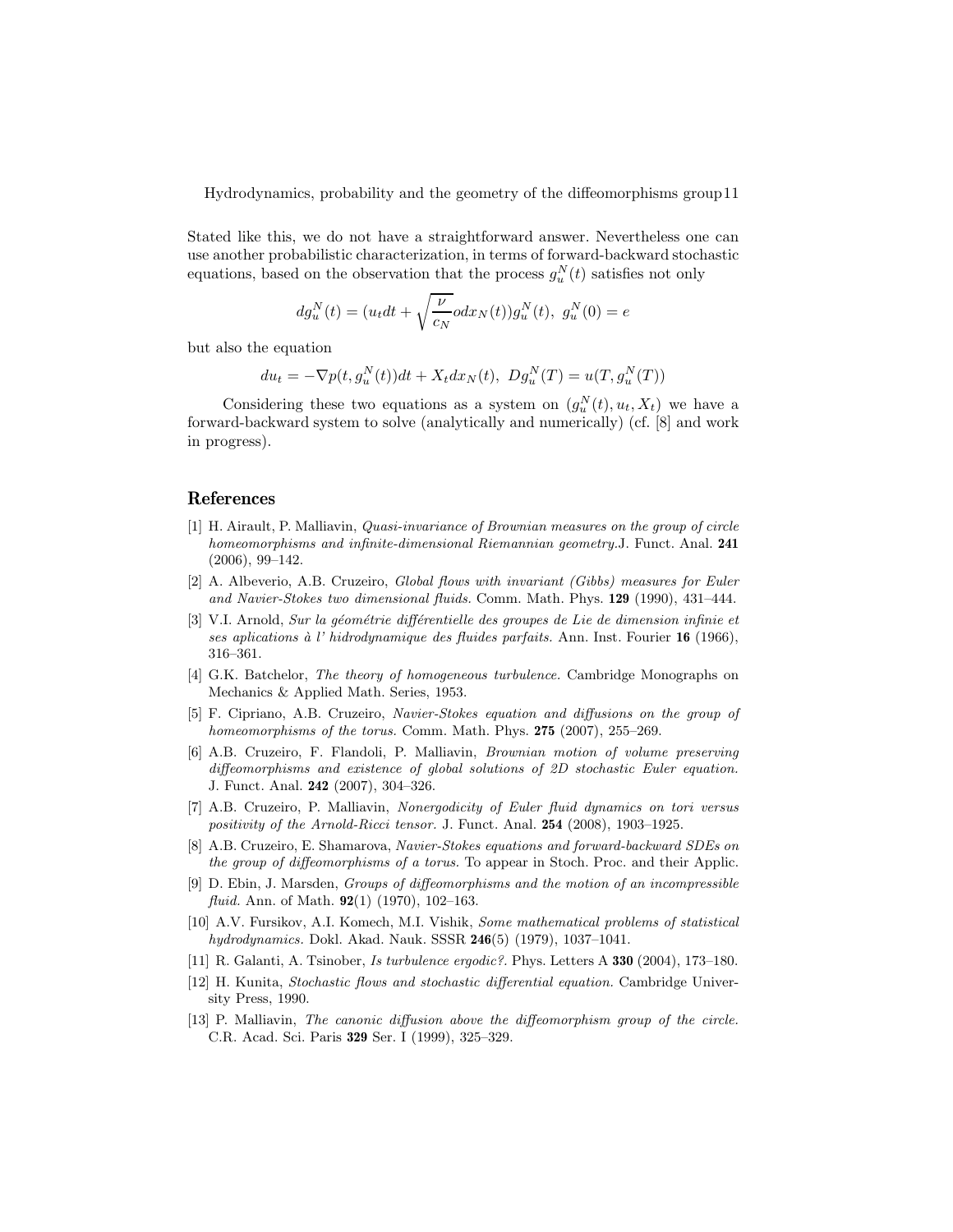Stated like this, we do not have a straightforward answer. Nevertheless one can use another probabilistic characterization, in terms of forward-backward stochastic equations, based on the observation that the process  $g_u^N(t)$  satisfies not only

$$
dg_u^N(t) = (u_t dt + \sqrt{\frac{\nu}{c_N}} o dx_N(t)) g_u^N(t), \ g_u^N(0) = e
$$

but also the equation

$$
du_t = -\nabla p(t, g_u^N(t))dt + X_t dx_N(t), \ Dg_u^N(T) = u(T, g_u^N(T))
$$

Considering these two equations as a system on  $(g_u^N(t), u_t, X_t)$  we have a forward-backward system to solve (analytically and numerically) (cf. [8] and work in progress).

## References

- [1] H. Airault, P. Malliavin, Quasi-invariance of Brownian measures on the group of circle homeomorphisms and infinite-dimensional Riemannian geometry.J. Funct. Anal. 241 (2006), 99–142.
- [2] A. Albeverio, A.B. Cruzeiro, Global flows with invariant (Gibbs) measures for Euler and Navier-Stokes two dimensional fluids. Comm. Math. Phys. 129 (1990), 431–444.
- [3] V.I. Arnold, Sur la géométrie différentielle des groupes de Lie de dimension infinie et ses aplications à l' hidrodynamique des fluides parfaits. Ann. Inst. Fourier 16 (1966), 316–361.
- [4] G.K. Batchelor, The theory of homogeneous turbulence. Cambridge Monographs on Mechanics & Applied Math. Series, 1953.
- [5] F. Cipriano, A.B. Cruzeiro, Navier-Stokes equation and diffusions on the group of homeomorphisms of the torus. Comm. Math. Phys. 275 (2007), 255–269.
- [6] A.B. Cruzeiro, F. Flandoli, P. Malliavin, Brownian motion of volume preserving diffeomorphisms and existence of global solutions of 2D stochastic Euler equation. J. Funct. Anal. 242 (2007), 304–326.
- [7] A.B. Cruzeiro, P. Malliavin, Nonergodicity of Euler fluid dynamics on tori versus positivity of the Arnold-Ricci tensor. J. Funct. Anal. 254 (2008), 1903–1925.
- [8] A.B. Cruzeiro, E. Shamarova, Navier-Stokes equations and forward-backward SDEs on the group of diffeomorphisms of a torus. To appear in Stoch. Proc. and their Applic.
- [9] D. Ebin, J. Marsden, Groups of diffeomorphisms and the motion of an incompressible *fluid.* Ann. of Math.  $92(1)$  (1970), 102–163.
- [10] A.V. Fursikov, A.I. Komech, M.I. Vishik, Some mathematical problems of statistical hydrodynamics. Dokl. Akad. Nauk. SSSR 246(5) (1979), 1037–1041.
- [11] R. Galanti, A. Tsinober, Is turbulence ergodic?. Phys. Letters A 330 (2004), 173–180.
- [12] H. Kunita, Stochastic flows and stochastic differential equation. Cambridge University Press, 1990.
- [13] P. Malliavin, The canonic diffusion above the diffeomorphism group of the circle. C.R. Acad. Sci. Paris 329 Ser. I (1999), 325–329.